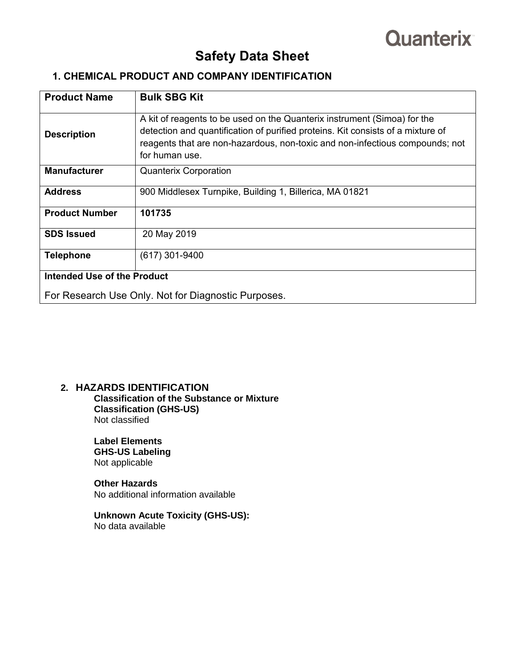# **Quanterix**

# **Safety Data Sheet**

# **1. CHEMICAL PRODUCT AND COMPANY IDENTIFICATION**

| <b>Product Name</b>                | <b>Bulk SBG Kit</b>                                                                                                                                                                                                                                           |
|------------------------------------|---------------------------------------------------------------------------------------------------------------------------------------------------------------------------------------------------------------------------------------------------------------|
| <b>Description</b>                 | A kit of reagents to be used on the Quanterix instrument (Simoa) for the<br>detection and quantification of purified proteins. Kit consists of a mixture of<br>reagents that are non-hazardous, non-toxic and non-infectious compounds; not<br>for human use. |
| <b>Manufacturer</b>                | <b>Quanterix Corporation</b>                                                                                                                                                                                                                                  |
| <b>Address</b>                     | 900 Middlesex Turnpike, Building 1, Billerica, MA 01821                                                                                                                                                                                                       |
| <b>Product Number</b>              | 101735                                                                                                                                                                                                                                                        |
| <b>SDS Issued</b>                  | 20 May 2019                                                                                                                                                                                                                                                   |
| <b>Telephone</b>                   | $(617)$ 301-9400                                                                                                                                                                                                                                              |
| <b>Intended Use of the Product</b> |                                                                                                                                                                                                                                                               |
|                                    | For Research Use Only. Not for Diagnostic Purposes.                                                                                                                                                                                                           |

### **2. HAZARDS IDENTIFICATION**

 **Classification of the Substance or Mixture Classification (GHS-US)** Not classified

**Label Elements GHS-US Labeling** Not applicable

**Other Hazards** No additional information available

**Unknown Acute Toxicity (GHS-US):** No data available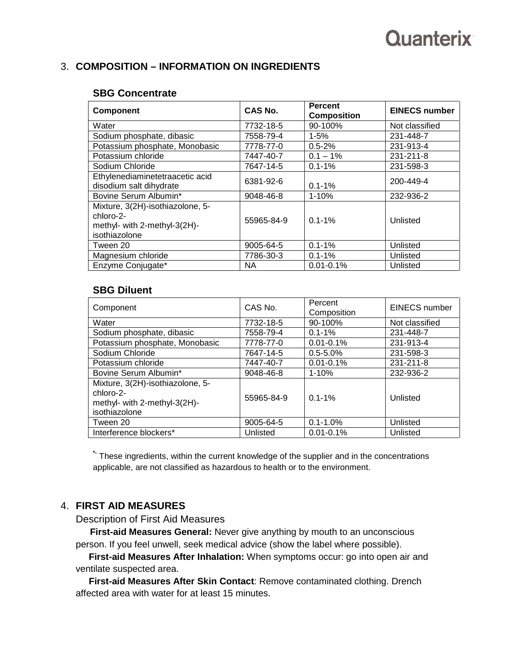# Quanterix

# 3. **COMPOSITION – INFORMATION ON INGREDIENTS**

### **SBG Concentrate**

| <b>Component</b>                                                                               | CAS No.    | <b>Percent</b><br><b>Composition</b> | <b>EINECS number</b> |
|------------------------------------------------------------------------------------------------|------------|--------------------------------------|----------------------|
| Water                                                                                          | 7732-18-5  | 90-100%                              | Not classified       |
| Sodium phosphate, dibasic                                                                      | 7558-79-4  | $1 - 5%$                             | 231-448-7            |
| Potassium phosphate, Monobasic                                                                 | 7778-77-0  | $0.5 - 2%$                           | 231-913-4            |
| Potassium chloride                                                                             | 7447-40-7  | $0.1 - 1\%$                          | 231-211-8            |
| Sodium Chloride                                                                                | 7647-14-5  | $0.1 - 1\%$                          | 231-598-3            |
| Ethylenediaminetetraacetic acid<br>disodium salt dihydrate                                     | 6381-92-6  | $0.1 - 1%$                           | 200-449-4            |
| Bovine Serum Albumin*                                                                          | 9048-46-8  | $1 - 10%$                            | 232-936-2            |
| Mixture, 3(2H)-isothiazolone, 5-<br>chloro-2-<br>methyl- with 2-methyl-3(2H)-<br>isothiazolone | 55965-84-9 | $0.1 - 1%$                           | Unlisted             |
| Tween 20                                                                                       | 9005-64-5  | $0.1 - 1%$                           | Unlisted             |
| Magnesium chloride                                                                             | 7786-30-3  | $0.1 - 1%$                           | Unlisted             |
| Enzyme Conjugate*                                                                              | <b>NA</b>  | $0.01 - 0.1%$                        | Unlisted             |

### **SBG Diluent**

| Component                                                                                      | CAS No.    | Percent<br>Composition | EINECS number  |
|------------------------------------------------------------------------------------------------|------------|------------------------|----------------|
| Water                                                                                          | 7732-18-5  | 90-100%                | Not classified |
| Sodium phosphate, dibasic                                                                      | 7558-79-4  | $0.1 - 1\%$            | 231-448-7      |
| Potassium phosphate, Monobasic                                                                 | 7778-77-0  | $0.01 - 0.1%$          | 231-913-4      |
| Sodium Chloride                                                                                | 7647-14-5  | $0.5 - 5.0%$           | 231-598-3      |
| Potassium chloride                                                                             | 7447-40-7  | $0.01 - 0.1%$          | 231-211-8      |
| Bovine Serum Albumin*                                                                          | 9048-46-8  | $1 - 10%$              | 232-936-2      |
| Mixture, 3(2H)-isothiazolone, 5-<br>chloro-2-<br>methyl- with 2-methyl-3(2H)-<br>isothiazolone | 55965-84-9 | $0.1 - 1\%$            | Unlisted       |
| Tween 20                                                                                       | 9005-64-5  | $0.1 - 1.0\%$          | Unlisted       |
| Interference blockers*                                                                         | Unlisted   | $0.01 - 0.1%$          | Unlisted       |

**\*-** These ingredients, within the current knowledge of the supplier and in the concentrations applicable, are not classified as hazardous to health or to the environment.

## 4. **FIRST AID MEASURES**

Description of First Aid Measures

 **First-aid Measures General:** Never give anything by mouth to an unconscious person. If you feel unwell, seek medical advice (show the label where possible).

 **First-aid Measures After Inhalation:** When symptoms occur: go into open air and ventilate suspected area.

 **First-aid Measures After Skin Contact**: Remove contaminated clothing. Drench affected area with water for at least 15 minutes.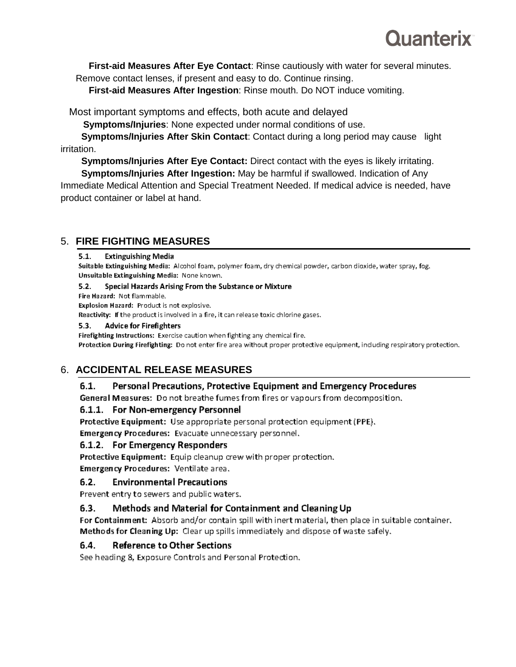# Ouanterix

 **First-aid Measures After Eye Contact**: Rinse cautiously with water for several minutes. Remove contact lenses, if present and easy to do. Continue rinsing.

 **First-aid Measures After Ingestion**: Rinse mouth. Do NOT induce vomiting.

Most important symptoms and effects, both acute and delayed

 **Symptoms/Injuries**: None expected under normal conditions of use.

 **Symptoms/Injuries After Skin Contact**: Contact during a long period may cause light irritation.

 **Symptoms/Injuries After Eye Contact:** Direct contact with the eyes is likely irritating.

 **Symptoms/Injuries After Ingestion:** May be harmful if swallowed. Indication of Any Immediate Medical Attention and Special Treatment Needed. If medical advice is needed, have product container or label at hand.

# 5. **FIRE FIGHTING MEASURES**

#### $5.1.$ **Extinguishing Media**

Suitable Extinguishing Media: Alcohol foam, polymer foam, dry chemical powder, carbon dioxide, water spray, fog. Unsuitable Extinguishing Media: None known.

#### $5.2.$ Special Hazards Arising From the Substance or Mixture

Fire Hazard: Not flammable.

Explosion Hazard: Product is not explosive.

Reactivity: If the product is involved in a fire, it can release toxic chlorine gases.

#### $5.3.$ **Advice for Firefighters**

Firefighting Instructions: Exercise caution when fighting any chemical fire. Protection During Firefighting: Do not enter fire area without proper protective equipment, including respiratory protection.

# 6. **ACCIDENTAL RELEASE MEASURES**

#### $6.1.$ Personal Precautions, Protective Equipment and Emergency Procedures

General Measures: Do not breathe fumes from fires or vapours from decomposition.

### 6.1.1. For Non-emergency Personnel

Protective Equipment: Use appropriate personal protection equipment (PPE).

Emergency Procedures: Evacuate unnecessary personnel.

### 6.1.2. For Emergency Responders

Protective Equipment: Equip cleanup crew with proper protection.

Emergency Procedures: Ventilate area.

#### **Environmental Precautions**  $6.2.$

Prevent entry to sewers and public waters.

#### $6.3.$ Methods and Material for Containment and Cleaning Up

For Containment: Absorb and/or contain spill with inert material, then place in suitable container. Methods for Cleaning Up: Clear up spills immediately and dispose of waste safely.

#### $6.4.$ **Reference to Other Sections**

See heading 8, Exposure Controls and Personal Protection.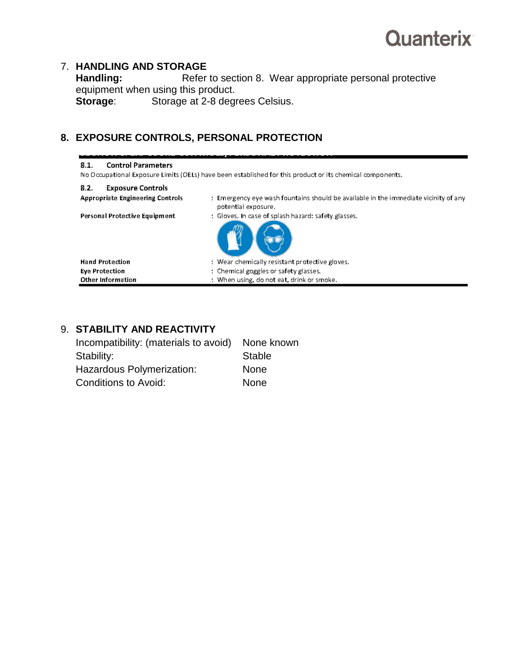

# 7. **HANDLING AND STORAGE**

Refer to section 8. Wear appropriate personal protective equipment when using this product.<br>**Storage:** Storage at 2-8 degrees **Storage at 2-8 degrees Celsius.** 

# **8. EXPOSURE CONTROLS, PERSONAL PROTECTION**

| <b>Control Parameters</b><br>8.1.       | No Occupational Exposure Limits (OELs) have been established for this product or its chemical components.  |
|-----------------------------------------|------------------------------------------------------------------------------------------------------------|
| <b>Exposure Controls</b><br>8.2.        |                                                                                                            |
| <b>Appropriate Engineering Controls</b> | : Emergency eye wash fountains should be available in the immediate vicinity of any<br>potential exposure. |
| Personal Protective Equipment           | : Gloves, In case of splash hazard: safety glasses,                                                        |
| <b>Hand Protection</b>                  | : Wear chemically resistant protective gloves.                                                             |
| <b>Eye Protection</b>                   | : Chemical goggles or safety glasses.                                                                      |
| <b>Other Information</b>                | : When using, do not eat, drink or smoke.                                                                  |

# 9. **STABILITY AND REACTIVITY**

| Incompatibility: (materials to avoid) | None known    |
|---------------------------------------|---------------|
| Stability:                            | <b>Stable</b> |
| Hazardous Polymerization:             | <b>None</b>   |
| <b>Conditions to Avoid:</b>           | <b>None</b>   |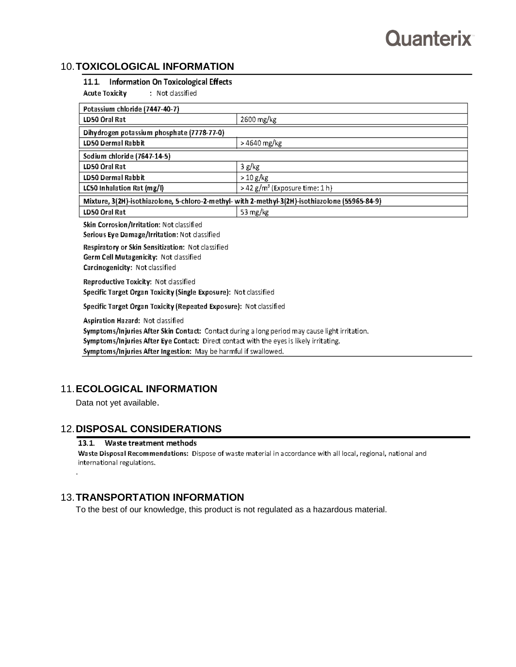## 10.**TOXICOLOGICAL INFORMATION**

### 11.1. Information On Toxicological Effects

**Acute Toxicity** : Not classified

| Potassium chloride (7447-40-7)                                                                                                                                                                                               |                                   |  |
|------------------------------------------------------------------------------------------------------------------------------------------------------------------------------------------------------------------------------|-----------------------------------|--|
| LD50 Oral Rat                                                                                                                                                                                                                | 2600 mg/kg                        |  |
| Dihydrogen potassium phosphate (7778-77-0)                                                                                                                                                                                   |                                   |  |
| LD50 Dermal Rabbit                                                                                                                                                                                                           | > 4640 mg/kg                      |  |
| Sodium chloride (7647-14-5)                                                                                                                                                                                                  |                                   |  |
| LD50 Oral Rat                                                                                                                                                                                                                | 3 g/kg                            |  |
| LD50 Dermal Rabbit                                                                                                                                                                                                           | > 10 g/kg                         |  |
| LC50 Inhalation Rat (mg/l)                                                                                                                                                                                                   | > 42 $g/m^3$ (Exposure time: 1 h) |  |
| Mixture, 3(2H)-isothiazolone, 5-chloro-2-methyl- with 2-methyl-3(2H)-isothiazolone (55965-84-9)                                                                                                                              |                                   |  |
| LD50 Oral Rat                                                                                                                                                                                                                | 53 mg/kg                          |  |
| Skin Corrosion/Irritation: Not classified<br>Serious Eye Damage/Irritation: Not classified                                                                                                                                   |                                   |  |
| Respiratory or Skin Sensitization: Not classified<br>Germ Cell Mutagenicity: Not classified<br>Carcinogenicity: Not classified                                                                                               |                                   |  |
| Reproductive Toxicity: Not classified<br>Specific Target Organ Toxicity (Single Exposure): Not classified                                                                                                                    |                                   |  |
| Specific Target Organ Toxicity (Repeated Exposure): Not classified                                                                                                                                                           |                                   |  |
| Aspiration Hazard: Not classified<br>Symptoms/Injuries After Skin Contact: Contact during a long period may cause light irritation.<br>Symptoms/Injuries After Eve Contact: Direct contact with the ever is likely initating |                                   |  |

Symptoms/Injuries After Eye Contact: Direct contact with the eyes is likely irritating.

Symptoms/Injuries After Ingestion: May be harmful if swallowed.

# 11.**ECOLOGICAL INFORMATION**

Data not yet available.

.

### 12.**DISPOSAL CONSIDERATIONS**

### 13.1. Waste treatment methods

Waste Disposal Recommendations: Dispose of waste material in accordance with all local, regional, national and international regulations.

# 13.**TRANSPORTATION INFORMATION**

To the best of our knowledge, this product is not regulated as a hazardous material.